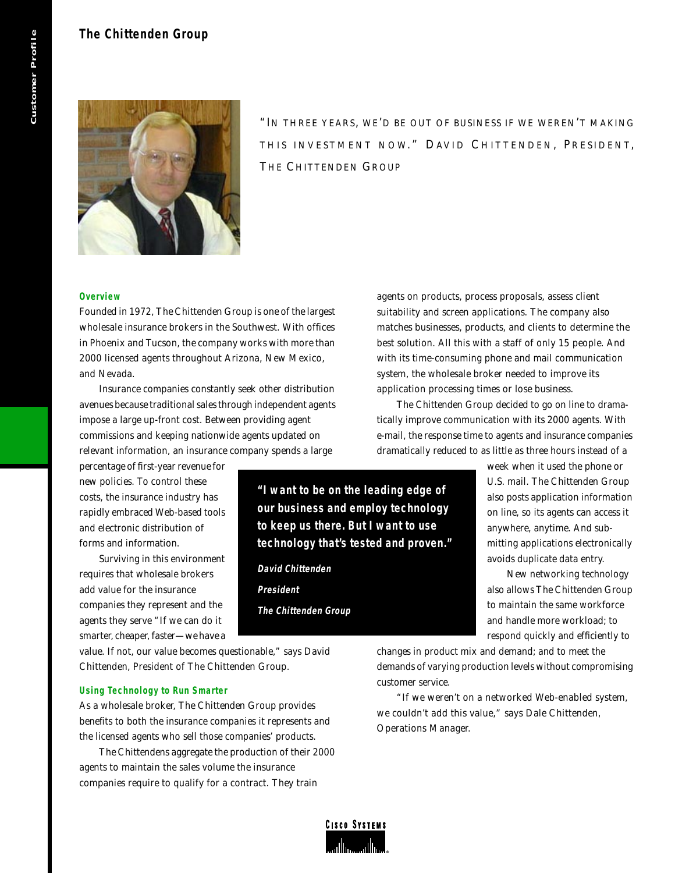# **The Chittenden Group**



"IN THREE YEARS, WE'D BE OUT OF BUSINESS IF WE WEREN'T MAKING THIS INVESTMENT NOW." DAVID CHITTENDEN, PRESIDENT, THE CHITTENDEN GROUP

## **Overview**

Founded in 1972, The Chittenden Group is one of the largest wholesale insurance brokers in the Southwest. With offices in Phoenix and Tucson, the company works with more than 2000 licensed agents throughout Arizona, New Mexico, and Nevada.

Insurance companies constantly seek other distribution avenues because traditional sales through independent agents impose a large up-front cost. Between providing agent commissions and keeping nationwide agents updated on relevant information, an insurance company spends a large

percentage of first-year revenue for new policies. To control these costs, the insurance industry has rapidly embraced Web-based tools and electronic distribution of forms and information.

Surviving in this environment requires that wholesale brokers add value for the insurance companies they represent and the agents they serve "If we can do it smarter, cheaper, faster—we have a

value. If not, our value becomes questionable," says David Chittenden, President of The Chittenden Group.

# **Using Technology to Run Smarter**

As a wholesale broker, The Chittenden Group provides benefits to both the insurance companies it represents and the licensed agents who sell those companies' products.

The Chittendens aggregate the production of their 2000 agents to maintain the sales volume the insurance companies require to qualify for a contract. They train

agents on products, process proposals, assess client suitability and screen applications. The company also matches businesses, products, and clients to determine the best solution. All this with a staff of only 15 people. And with its time-consuming phone and mail communication system, the wholesale broker needed to improve its application processing times or lose business.

The Chittenden Group decided to go on line to dramatically improve communication with its 2000 agents. With e-mail, the response time to agents and insurance companies dramatically reduced to as little as three hours instead of a

> week when it used the phone or U.S. mail. The Chittenden Group also posts application information on line, so its agents can access it anywhere, anytime. And submitting applications electronically avoids duplicate data entry.

> New networking technology also allows The Chittenden Group to maintain the same workforce and handle more workload; to respond quickly and efficiently to

changes in product mix and demand; and to meet the demands of varying production levels without compromising customer service.

"If we weren't on a networked Web-enabled system, we couldn't add this value," says Dale Chittenden, Operations Manager.



**"I want to be on the leading edge of our business and employ technology to keep us there. But I want to use technology that's tested and proven."**

**David Chittenden**

**The Chittenden Group**

**President**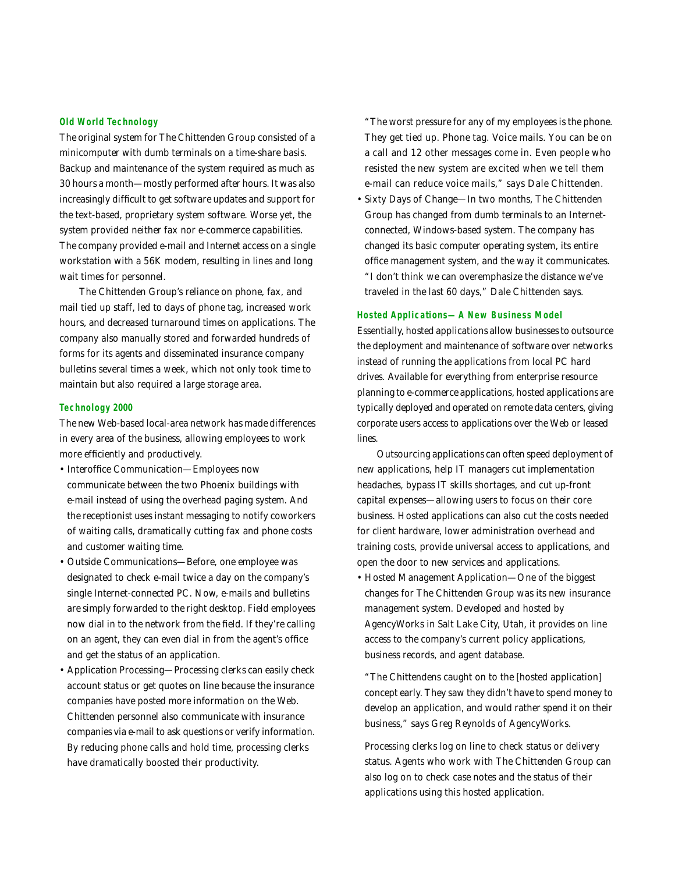#### **Old World Technology**

The original system for The Chittenden Group consisted of a minicomputer with dumb terminals on a time-share basis. Backup and maintenance of the system required as much as 30 hours a month—mostly performed after hours. It was also increasingly difficult to get software updates and support for the text-based, proprietary system software. Worse yet, the system provided neither fax nor e-commerce capabilities. The company provided e-mail and Internet access on a single workstation with a 56K modem, resulting in lines and long wait times for personnel.

The Chittenden Group's reliance on phone, fax, and mail tied up staff, led to days of phone tag, increased work hours, and decreased turnaround times on applications. The company also manually stored and forwarded hundreds of forms for its agents and disseminated insurance company bulletins several times a week, which not only took time to maintain but also required a large storage area.

#### **Technology 2000**

The new Web-based local-area network has made differences in every area of the business, allowing employees to work more efficiently and productively.

- Interoffice Communication—Employees now communicate between the two Phoenix buildings with e-mail instead of using the overhead paging system. And the receptionist uses instant messaging to notify coworkers of waiting calls, dramatically cutting fax and phone costs and customer waiting time.
- Outside Communications—Before, one employee was designated to check e-mail twice a day on the company's single Internet-connected PC. Now, e-mails and bulletins are simply forwarded to the right desktop. Field employees now dial in to the network from the field. If they're calling on an agent, they can even dial in from the agent's office and get the status of an application.
- Application Processing—Processing clerks can easily check account status or get quotes on line because the insurance companies have posted more information on the Web. Chittenden personnel also communicate with insurance companies via e-mail to ask questions or verify information. By reducing phone calls and hold time, processing clerks have dramatically boosted their productivity.

"The worst pressure for any of my employees is the phone. They get tied up. Phone tag. Voice mails. You can be on a call and 12 other messages come in. Even people who resisted the new system are excited when we tell them e-mail can reduce voice mails," says Dale Chittenden.

• Sixty Days of Change—In two months, The Chittenden Group has changed from dumb terminals to an Internetconnected, Windows-based system. The company has changed its basic computer operating system, its entire office management system, and the way it communicates. "I don't think we can overemphasize the distance we've traveled in the last 60 days," Dale Chittenden says.

## **Hosted Applications—A New Business Model**

Essentially, hosted applications allow businesses to outsource the deployment and maintenance of software over networks instead of running the applications from local PC hard drives. Available for everything from enterprise resource planning to e-commerce applications, hosted applications are typically deployed and operated on remote data centers, giving corporate users access to applications over the Web or leased lines.

Outsourcing applications can often speed deployment of new applications, help IT managers cut implementation headaches, bypass IT skills shortages, and cut up-front capital expenses—allowing users to focus on their core business. Hosted applications can also cut the costs needed for client hardware, lower administration overhead and training costs, provide universal access to applications, and open the door to new services and applications.

• Hosted Management Application—One of the biggest changes for The Chittenden Group was its new insurance management system. Developed and hosted by AgencyWorks in Salt Lake City, Utah, it provides on line access to the company's current policy applications, business records, and agent database.

"The Chittendens caught on to the [hosted application] concept early. They saw they didn't have to spend money to develop an application, and would rather spend it on their business," says Greg Reynolds of AgencyWorks.

Processing clerks log on line to check status or delivery status. Agents who work with The Chittenden Group can also log on to check case notes and the status of their applications using this hosted application.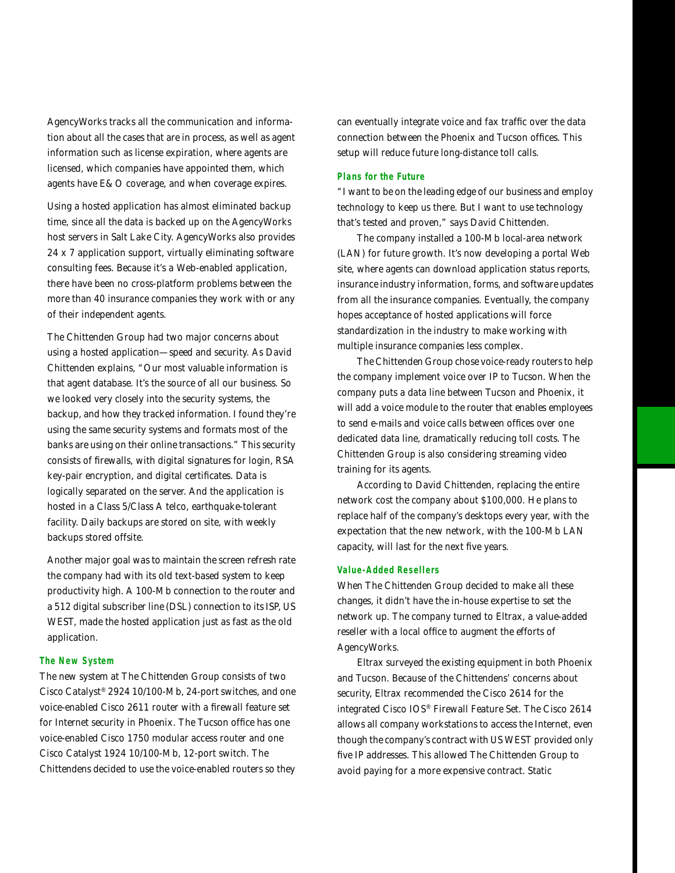AgencyWorks tracks all the communication and information about all the cases that are in process, as well as agent information such as license expiration, where agents are licensed, which companies have appointed them, which agents have E&O coverage, and when coverage expires.

Using a hosted application has almost eliminated backup time, since all the data is backed up on the AgencyWorks host servers in Salt Lake City. AgencyWorks also provides 24 x 7 application support, virtually eliminating software consulting fees. Because it's a Web-enabled application, there have been no cross-platform problems between the more than 40 insurance companies they work with or any of their independent agents.

The Chittenden Group had two major concerns about using a hosted application—speed and security. As David Chittenden explains, "Our most valuable information is that agent database. It's the source of all our business. So we looked very closely into the security systems, the backup, and how they tracked information. I found they're using the same security systems and formats most of the banks are using on their online transactions." This security consists of firewalls, with digital signatures for login, RSA key-pair encryption, and digital certificates. Data is logically separated on the server. And the application is hosted in a Class 5/Class A telco, earthquake-tolerant facility. Daily backups are stored on site, with weekly backups stored offsite.

Another major goal was to maintain the screen refresh rate the company had with its old text-based system to keep productivity high. A 100-Mb connection to the router and a 512 digital subscriber line (DSL) connection to its ISP, US WEST, made the hosted application just as fast as the old application.

#### **The New System**

The new system at The Chittenden Group consists of two Cisco Catalyst® 2924 10/100-Mb, 24-port switches, and one voice-enabled Cisco 2611 router with a firewall feature set for Internet security in Phoenix. The Tucson office has one voice-enabled Cisco 1750 modular access router and one Cisco Catalyst 1924 10/100-Mb, 12-port switch. The Chittendens decided to use the voice-enabled routers so they

can eventually integrate voice and fax traffic over the data connection between the Phoenix and Tucson offices. This setup will reduce future long-distance toll calls.

#### **Plans for the Future**

"I want to be on the leading edge of our business and employ technology to keep us there. But I want to use technology that's tested and proven," says David Chittenden.

The company installed a 100-Mb local-area network (LAN) for future growth. It's now developing a portal Web site, where agents can download application status reports, insurance industry information, forms, and software updates from all the insurance companies. Eventually, the company hopes acceptance of hosted applications will force standardization in the industry to make working with multiple insurance companies less complex.

The Chittenden Group chose voice-ready routers to help the company implement voice over IP to Tucson. When the company puts a data line between Tucson and Phoenix, it will add a voice module to the router that enables employees to send e-mails and voice calls between offices over one dedicated data line, dramatically reducing toll costs. The Chittenden Group is also considering streaming video training for its agents.

According to David Chittenden, replacing the entire network cost the company about \$100,000. He plans to replace half of the company's desktops every year, with the expectation that the new network, with the 100-Mb LAN capacity, will last for the next five years.

## **Value-Added Resellers**

When The Chittenden Group decided to make all these changes, it didn't have the in-house expertise to set the network up. The company turned to Eltrax, a value-added reseller with a local office to augment the efforts of AgencyWorks.

Eltrax surveyed the existing equipment in both Phoenix and Tucson. Because of the Chittendens' concerns about security, Eltrax recommended the Cisco 2614 for the integrated Cisco IOS® Firewall Feature Set. The Cisco 2614 allows all company workstations to access the Internet, even though the company's contract with US WEST provided only five IP addresses. This allowed The Chittenden Group to avoid paying for a more expensive contract. Static